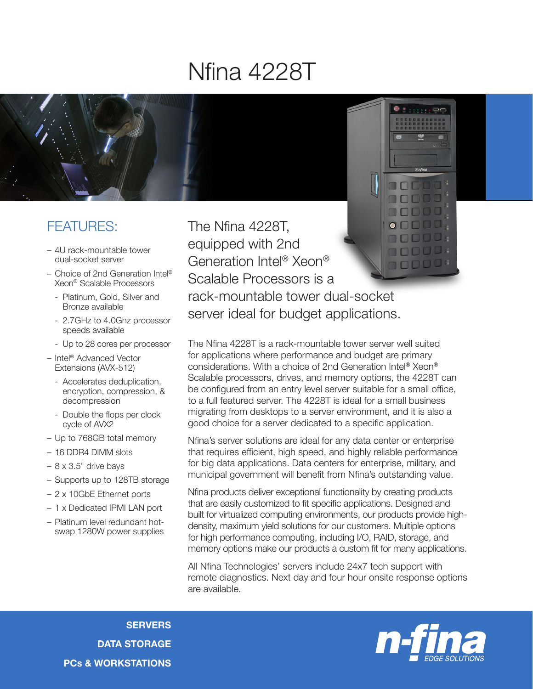## Nfina 4228T



## FEATURES:

- 4U rack-mountable tower dual-socket server
- Choice of 2nd Generation Intel® Xeon® Scalable Processors
	- Platinum, Gold, Silver and Bronze available
	- 2.7GHz to 4.0Ghz processor speeds available
	- Up to 28 cores per processor
- Intel® Advanced Vector Extensions (AVX-512)
	- Accelerates deduplication, encryption, compression, & decompression
	- Double the flops per clock cycle of AVX2
- Up to 768GB total memory
- 16 DDR4 DIMM slots
- $-$  8 x 3.5" drive bays
- Supports up to 128TB storage
- 2 x 10GbE Ethernet ports
- 1 x Dedicated IPMI LAN port
- Platinum level redundant hotswap 1280W power supplies

The Nfina 4228T, equipped with 2nd Generation Intel® Xeon® 10000 Scalable Processors is a rack-mountable tower dual-socket server ideal for budget applications.

The Nfina 4228T is a rack-mountable tower server well suited for applications where performance and budget are primary considerations. With a choice of 2nd Generation Intel® Xeon® Scalable processors, drives, and memory options, the 4228T can be configured from an entry level server suitable for a small office, to a full featured server. The 4228T is ideal for a small business migrating from desktops to a server environment, and it is also a good choice for a server dedicated to a specific application.

Nfina's server solutions are ideal for any data center or enterprise that requires efficient, high speed, and highly reliable performance for big data applications. Data centers for enterprise, military, and municipal government will benefit from Nfina's outstanding value.

Nfina products deliver exceptional functionality by creating products that are easily customized to fit specific applications. Designed and built for virtualized computing environments, our products provide highdensity, maximum yield solutions for our customers. Multiple options for high performance computing, including I/O, RAID, storage, and memory options make our products a custom fit for many applications.

All Nfina Technologies' servers include 24x7 tech support with remote diagnostics. Next day and four hour onsite response options are available.

**SERVERS** DATA STORAGE PCs & WORKSTATIONS



 $\frac{1}{2}$  : : : : :  $\frac{1}{2}$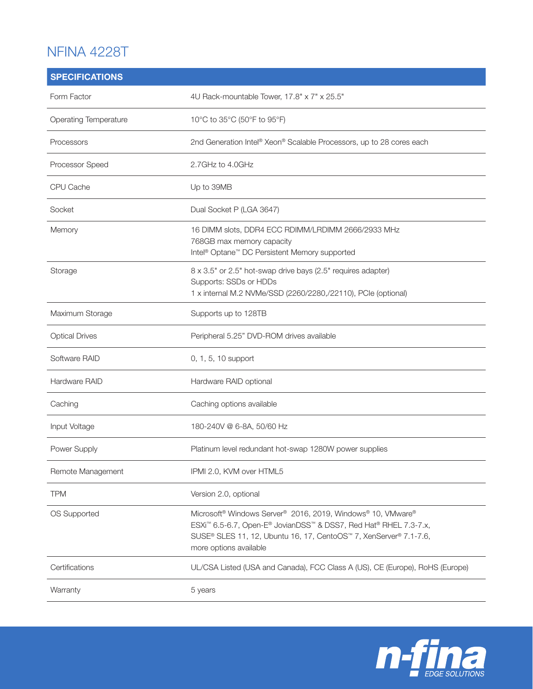## NFINA 4228T

| <b>SPECIFICATIONS</b> |                                                                                                                                                                                                                                                                                |
|-----------------------|--------------------------------------------------------------------------------------------------------------------------------------------------------------------------------------------------------------------------------------------------------------------------------|
| Form Factor           | 4U Rack-mountable Tower, 17.8" x 7" x 25.5"                                                                                                                                                                                                                                    |
| Operating Temperature | 10°C to 35°C (50°F to 95°F)                                                                                                                                                                                                                                                    |
| Processors            | 2nd Generation Intel® Xeon® Scalable Processors, up to 28 cores each                                                                                                                                                                                                           |
| Processor Speed       | 2.7GHz to 4.0GHz                                                                                                                                                                                                                                                               |
| CPU Cache             | Up to 39MB                                                                                                                                                                                                                                                                     |
| Socket                | Dual Socket P (LGA 3647)                                                                                                                                                                                                                                                       |
| Memory                | 16 DIMM slots, DDR4 ECC RDIMM/LRDIMM 2666/2933 MHz<br>768GB max memory capacity<br>Intel <sup>®</sup> Optane <sup>™</sup> DC Persistent Memory supported                                                                                                                       |
| Storage               | 8 x 3.5" or 2.5" hot-swap drive bays (2.5" requires adapter)<br>Supports: SSDs or HDDs<br>1 x internal M.2 NVMe/SSD (2260/2280,/22110), PCIe (optional)                                                                                                                        |
| Maximum Storage       | Supports up to 128TB                                                                                                                                                                                                                                                           |
| <b>Optical Drives</b> | Peripheral 5.25" DVD-ROM drives available                                                                                                                                                                                                                                      |
| Software RAID         | 0, 1, 5, 10 support                                                                                                                                                                                                                                                            |
| Hardware RAID         | Hardware RAID optional                                                                                                                                                                                                                                                         |
| Caching               | Caching options available                                                                                                                                                                                                                                                      |
| Input Voltage         | 180-240V @ 6-8A, 50/60 Hz                                                                                                                                                                                                                                                      |
| Power Supply          | Platinum level redundant hot-swap 1280W power supplies                                                                                                                                                                                                                         |
| Remote Management     | IPMI 2.0, KVM over HTML5                                                                                                                                                                                                                                                       |
| <b>TPM</b>            | Version 2.0, optional                                                                                                                                                                                                                                                          |
| OS Supported          | Microsoft <sup>®</sup> Windows Server <sup>®</sup> 2016, 2019, Windows® 10, VMware®<br>ESXi <sup>™</sup> 6.5-6.7, Open-E® JovianDSS <sup>™</sup> & DSS7, Red Hat® RHEL 7.3-7.x,<br>SUSE® SLES 11, 12, Ubuntu 16, 17, CentoOS™ 7, XenServer® 7.1-7.6,<br>more options available |
| Certifications        | UL/CSA Listed (USA and Canada), FCC Class A (US), CE (Europe), RoHS (Europe)                                                                                                                                                                                                   |
| Warranty              | 5 years                                                                                                                                                                                                                                                                        |